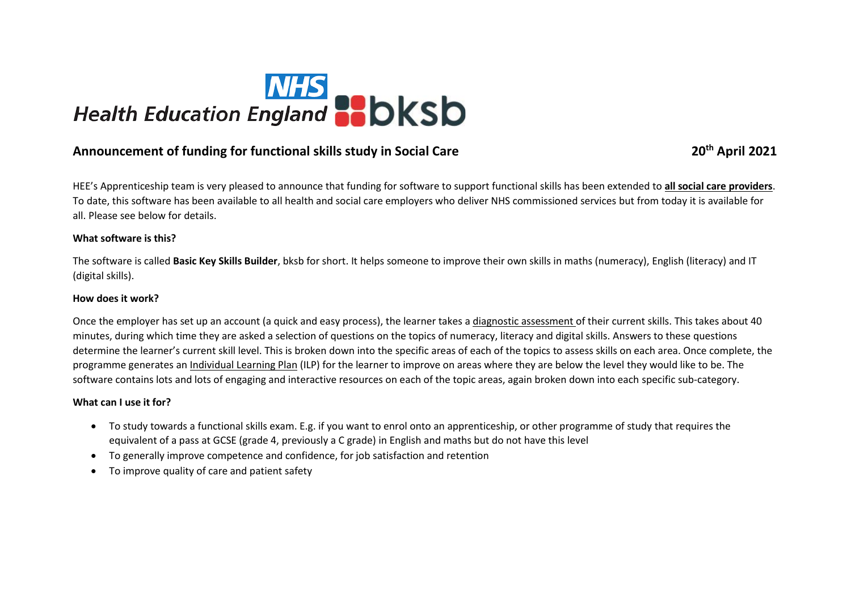

# **Announcement of funding for functional skills study in Social Care 20th April 2021**

HEE's Apprenticeship team is very pleased to announce that funding for software to support functional skills has been extended to **all social care providers**. To date, this software has been available to all health and social care employers who deliver NHS commissioned services but from today it is available for all. Please see below for details.

#### **What software is this?**

The software is called **Basic Key Skills Builder**, bksb for short. It helps someone to improve their own skills in maths (numeracy), English (literacy) and IT (digital skills).

## **How does it work?**

Once the employer has set up an account (a quick and easy process), the learner takes a diagnostic assessment of their current skills. This takes about 40 minutes, during which time they are asked a selection of questions on the topics of numeracy, literacy and digital skills. Answers to these questions determine the learner's current skill level. This is broken down into the specific areas of each of the topics to assess skills on each area. Once complete, the programme generates an Individual Learning Plan (ILP) for the learner to improve on areas where they are below the level they would like to be. The software contains lots and lots of engaging and interactive resources on each of the topic areas, again broken down into each specific sub-category.

#### **What can I use it for?**

- To study towards a functional skills exam. E.g. if you want to enrol onto an apprenticeship, or other programme of study that requires the equivalent of a pass at GCSE (grade 4, previously a C grade) in English and maths but do not have this level
- To generally improve competence and confidence, for job satisfaction and retention
- To improve quality of care and patient safety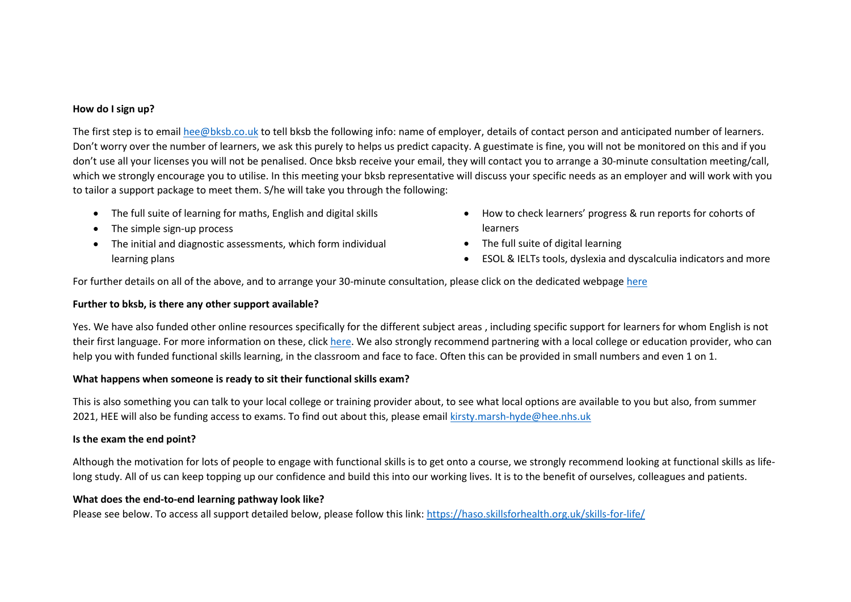## **How do I sign up?**

The first step is to emai[l hee@bksb.co.uk](mailto:hee@bksb.co.uk) to tell bksb the following info: name of employer, details of contact person and anticipated number of learners. Don't worry over the number of learners, we ask this purely to helps us predict capacity. A guestimate is fine, you will not be monitored on this and if you don't use all your licenses you will not be penalised. Once bksb receive your email, they will contact you to arrange a 30-minute consultation meeting/call, which we strongly encourage you to utilise. In this meeting your bksb representative will discuss your specific needs as an employer and will work with you to tailor a support package to meet them. S/he will take you through the following:

- The full suite of learning for maths, English and digital skills
- The simple sign-up process
- The initial and diagnostic assessments, which form individual learning plans
- How to check learners' progress & run reports for cohorts of learners
- The full suite of digital learning
- ESOL & IELTs tools, dyslexia and dyscalculia indicators and more

For further details on all of the above, and to arrange your 30-minute consultation, please click on the dedicated webpage [here](https://www.bksb.co.uk/bksb-for-nhs/)

# **Further to bksb, is there any other support available?**

Yes. We have also funded other online resources specifically for the different subject areas , including specific support for learners for whom English is not their first language. For more information on these, clic[k here.](https://haso.skillsforhealth.org.uk/skills-for-life/) We also strongly recommend partnering with a local college or education provider, who can help you with funded functional skills learning, in the classroom and face to face. Often this can be provided in small numbers and even 1 on 1.

# **What happens when someone is ready to sit their functional skills exam?**

This is also something you can talk to your local college or training provider about, to see what local options are available to you but also, from summer 2021, HEE will also be funding access to exams. To find out about this, please email [kirsty.marsh-hyde@hee.nhs.uk](mailto:kirsty.marsh-hyde@hee.nhs.uk)

# **Is the exam the end point?**

Although the motivation for lots of people to engage with functional skills is to get onto a course, we strongly recommend looking at functional skills as lifelong study. All of us can keep topping up our confidence and build this into our working lives. It is to the benefit of ourselves, colleagues and patients.

# **What does the end-to-end learning pathway look like?**

Please see below. To access all support detailed below, please follow this link:<https://haso.skillsforhealth.org.uk/skills-for-life/>